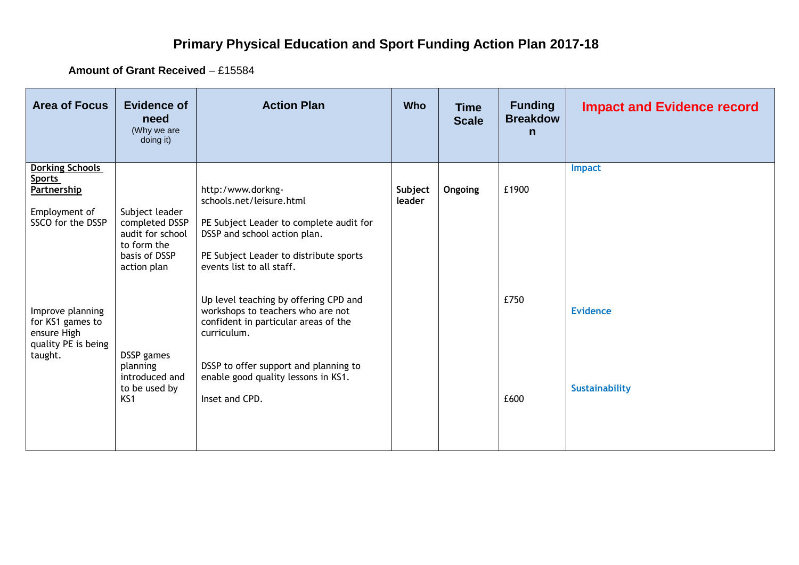## **Primary Physical Education and Sport Funding Action Plan 2017-18**

**Amount of Grant Received** – £15584

| <b>Area of Focus</b>                                                                                | <b>Evidence of</b><br>need<br>(Why we are<br>doing it)                                              | <b>Action Plan</b>                                                                                                                                                                                                                  | <b>Who</b>        | <b>Time</b><br><b>Scale</b> | <b>Funding</b><br><b>Breakdow</b><br>$\mathsf{n}$ | <b>Impact and Evidence record</b>        |
|-----------------------------------------------------------------------------------------------------|-----------------------------------------------------------------------------------------------------|-------------------------------------------------------------------------------------------------------------------------------------------------------------------------------------------------------------------------------------|-------------------|-----------------------------|---------------------------------------------------|------------------------------------------|
| <b>Dorking Schools</b><br><b>Sports</b><br><b>Partnership</b><br>Employment of<br>SSCO for the DSSP | Subject leader<br>completed DSSP<br>audit for school<br>to form the<br>basis of DSSP<br>action plan | http:/www.dorkng-<br>schools.net/leisure.html<br>PE Subject Leader to complete audit for<br>DSSP and school action plan.<br>PE Subject Leader to distribute sports<br>events list to all staff.                                     | Subject<br>leader | Ongoing                     | £1900                                             | <b>Impact</b>                            |
| Improve planning<br>for KS1 games to<br>ensure High<br>quality PE is being<br>taught.               | DSSP games<br>planning<br>introduced and<br>to be used by<br>KS1                                    | Up level teaching by offering CPD and<br>workshops to teachers who are not<br>confident in particular areas of the<br>curriculum.<br>DSSP to offer support and planning to<br>enable good quality lessons in KS1.<br>Inset and CPD. |                   |                             | £750<br>£600                                      | <b>Evidence</b><br><b>Sustainability</b> |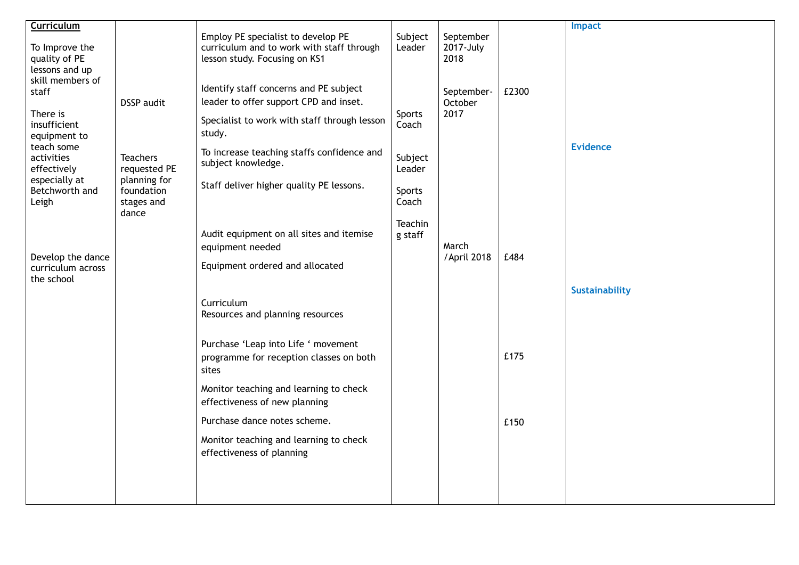| Curriculum                                                                                                                                          |                                                                                    |                                                                                                                                                                                                                                                            |                                                |                                |       | <b>Impact</b>         |
|-----------------------------------------------------------------------------------------------------------------------------------------------------|------------------------------------------------------------------------------------|------------------------------------------------------------------------------------------------------------------------------------------------------------------------------------------------------------------------------------------------------------|------------------------------------------------|--------------------------------|-------|-----------------------|
| To Improve the<br>quality of PE<br>lessons and up                                                                                                   |                                                                                    | Employ PE specialist to develop PE<br>curriculum and to work with staff through<br>lesson study. Focusing on KS1                                                                                                                                           | Subject<br>Leader                              | September<br>2017-July<br>2018 |       |                       |
| skill members of<br>staff<br>There is<br>insufficient<br>equipment to<br>teach some<br>activities<br>effectively<br>especially at<br>Betchworth and | <b>DSSP</b> audit<br><b>Teachers</b><br>requested PE<br>planning for<br>foundation | Identify staff concerns and PE subject<br>leader to offer support CPD and inset.<br>Specialist to work with staff through lesson<br>study.<br>To increase teaching staffs confidence and<br>subject knowledge.<br>Staff deliver higher quality PE lessons. | Sports<br>Coach<br>Subject<br>Leader<br>Sports | September-<br>October<br>2017  | £2300 | <b>Evidence</b>       |
| Leigh                                                                                                                                               | stages and<br>dance                                                                |                                                                                                                                                                                                                                                            | Coach                                          |                                |       |                       |
| Develop the dance<br>curriculum across<br>the school                                                                                                |                                                                                    | Audit equipment on all sites and itemise<br>equipment needed<br>Equipment ordered and allocated                                                                                                                                                            | Teachin<br>g staff                             | March<br>/April 2018           | £484  |                       |
|                                                                                                                                                     |                                                                                    | Curriculum<br>Resources and planning resources                                                                                                                                                                                                             |                                                |                                |       | <b>Sustainability</b> |
|                                                                                                                                                     |                                                                                    | Purchase 'Leap into Life ' movement<br>programme for reception classes on both<br>sites                                                                                                                                                                    |                                                |                                | £175  |                       |
|                                                                                                                                                     |                                                                                    | Monitor teaching and learning to check<br>effectiveness of new planning                                                                                                                                                                                    |                                                |                                |       |                       |
|                                                                                                                                                     |                                                                                    | Purchase dance notes scheme.                                                                                                                                                                                                                               |                                                |                                | £150  |                       |
|                                                                                                                                                     |                                                                                    | Monitor teaching and learning to check<br>effectiveness of planning                                                                                                                                                                                        |                                                |                                |       |                       |
|                                                                                                                                                     |                                                                                    |                                                                                                                                                                                                                                                            |                                                |                                |       |                       |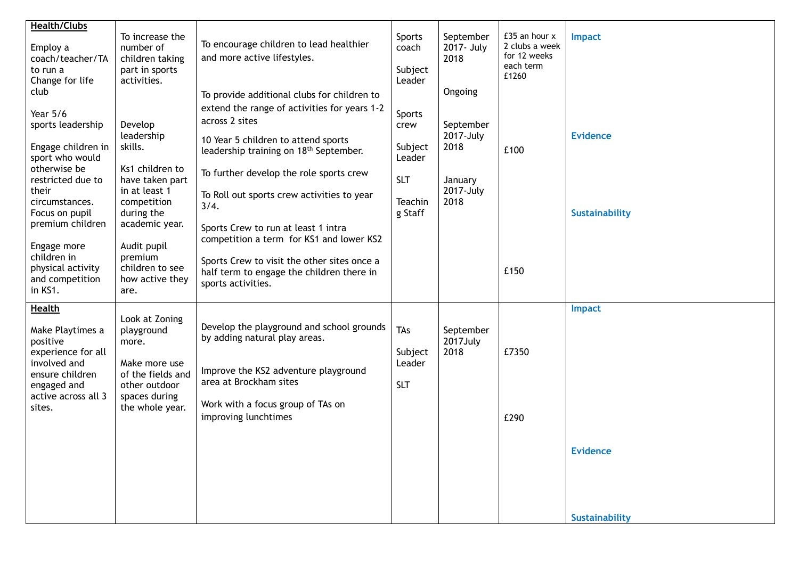| <b>Health/Clubs</b>                                                                                                                                                                                                |                                                                                                                                                                  |                                                                                                                                                                                                                                                                                                                                                                                                                                               |                                                                         |                                                                           |                                                                       |                                          |
|--------------------------------------------------------------------------------------------------------------------------------------------------------------------------------------------------------------------|------------------------------------------------------------------------------------------------------------------------------------------------------------------|-----------------------------------------------------------------------------------------------------------------------------------------------------------------------------------------------------------------------------------------------------------------------------------------------------------------------------------------------------------------------------------------------------------------------------------------------|-------------------------------------------------------------------------|---------------------------------------------------------------------------|-----------------------------------------------------------------------|------------------------------------------|
| Employ a<br>coach/teacher/TA<br>to run a<br>Change for life                                                                                                                                                        | To increase the<br>number of<br>children taking<br>part in sports<br>activities.                                                                                 | To encourage children to lead healthier<br>and more active lifestyles.                                                                                                                                                                                                                                                                                                                                                                        | Sports<br>coach<br>Subject<br>Leader                                    | September<br>2017- July<br>2018                                           | £35 an hour x<br>2 clubs a week<br>for 12 weeks<br>each term<br>£1260 | <b>Impact</b>                            |
| club<br>Year 5/6<br>sports leadership<br>Engage children in<br>sport who would<br>otherwise be<br>restricted due to<br>their<br>circumstances.<br>Focus on pupil<br>premium children<br>Engage more<br>children in | Develop<br>leadership<br>skills.<br>Ks1 children to<br>have taken part<br>in at least 1<br>competition<br>during the<br>academic year.<br>Audit pupil<br>premium | To provide additional clubs for children to<br>extend the range of activities for years 1-2<br>across 2 sites<br>10 Year 5 children to attend sports<br>leadership training on 18 <sup>th</sup> September.<br>To further develop the role sports crew<br>To Roll out sports crew activities to year<br>3/4.<br>Sports Crew to run at least 1 intra<br>competition a term for KS1 and lower KS2<br>Sports Crew to visit the other sites once a | Sports<br>crew<br>Subject<br>Leader<br><b>SLT</b><br>Teachin<br>g Staff | Ongoing<br>September<br>2017-July<br>2018<br>January<br>2017-July<br>2018 | £100                                                                  | <b>Evidence</b><br><b>Sustainability</b> |
| physical activity<br>and competition<br>in KS1.                                                                                                                                                                    | children to see<br>how active they<br>are.                                                                                                                       | half term to engage the children there in<br>sports activities.                                                                                                                                                                                                                                                                                                                                                                               |                                                                         |                                                                           | £150                                                                  |                                          |
| <b>Health</b><br>Make Playtimes a<br>positive<br>experience for all<br>involved and<br>ensure children<br>engaged and<br>active across all 3<br>sites.                                                             | Look at Zoning<br>playground<br>more.<br>Make more use<br>of the fields and<br>other outdoor<br>spaces during<br>the whole year.                                 | Develop the playground and school grounds<br>by adding natural play areas.<br>Improve the KS2 adventure playground<br>area at Brockham sites<br>Work with a focus group of TAs on<br>improving lunchtimes                                                                                                                                                                                                                                     | TAs<br>Subject<br>Leader<br><b>SLT</b>                                  | September<br>2017July<br>2018                                             | £7350<br>£290                                                         | <b>Impact</b>                            |
|                                                                                                                                                                                                                    |                                                                                                                                                                  |                                                                                                                                                                                                                                                                                                                                                                                                                                               |                                                                         |                                                                           |                                                                       | <b>Evidence</b><br><b>Sustainability</b> |